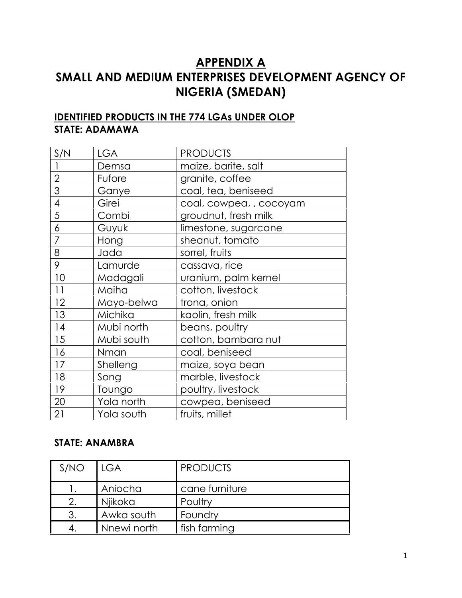# **APPENDIX A SMALL AND MEDIUM ENTERPRISES DEVELOPMENT AGENCY OF NIGERIA (SMEDAN)**

#### **IDENTIFIED PRODUCTS IN THE 774 LGAs UNDER OLOP STATE: ADAMAWA**

| S/N            | <b>LGA</b> | <b>PRODUCTS</b>         |
|----------------|------------|-------------------------|
|                | Demsa      | maize, barite, salt     |
| $\overline{2}$ | Fufore     | granite, coffee         |
| 3              | Ganye      | coal, tea, beniseed     |
| $\overline{4}$ | Girei      | coal, cowpea, , cocoyam |
| 5              | Combi      | groudnut, fresh milk    |
| 6              | Guyuk      | limestone, sugarcane    |
| $\overline{7}$ | Hong       | sheanut, tomato         |
| 8              | Jada       | sorrel, fruits          |
| 9              | Lamurde    | cassava, rice           |
| 10             | Madagali   | uranium, palm kernel    |
| 11             | Maiha      | cotton, livestock       |
| 12             | Mayo-belwa | trona, onion            |
| 13             | Michika    | kaolin, fresh milk      |
| 14             | Mubi north | beans, poultry          |
| 15             | Mubi south | cotton, bambara nut     |
| 16             | Nman       | coal, beniseed          |
| 17             | Shelleng   | maize, soya bean        |
| 18             | Song       | marble, livestock       |
| 19             | Toungo     | poultry, livestock      |
| 20             | Yola north | cowpea, beniseed        |
| 21             | Yola south | fruits, millet          |

### **STATE: ANAMBRA**

| S/NO | l LGA       | <b>PRODUCTS</b> |
|------|-------------|-----------------|
|      | Aniocha     | cane furniture  |
|      | Njikoka     | Poultry         |
|      | Awka south  | Foundry         |
|      | Nnewi north | fish farming    |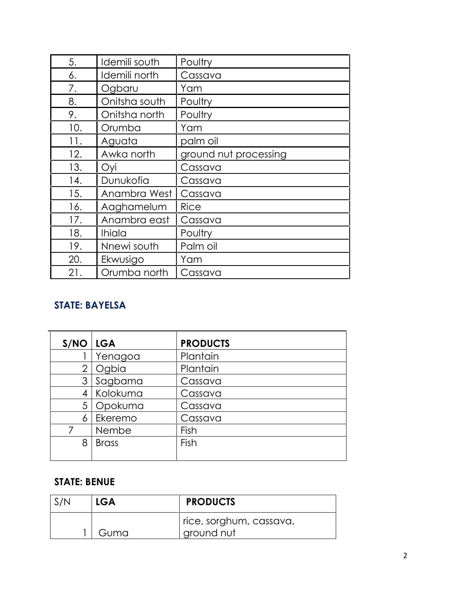| 5.  | Idemili south | Poultry               |
|-----|---------------|-----------------------|
| 6.  | Idemili north | Cassava               |
| 7.  | Ogbaru        | Yam                   |
| 8.  | Onitsha south | Poultry               |
| 9.  | Onitsha north | Poultry               |
| 10. | Orumba        | Yam                   |
| 11. | Aguata        | palm oil              |
| 12. | Awka north    | ground nut processing |
| 13. | Oyi           | Cassava               |
| 14. | Dunukofia     | Cassava               |
| 15. | Anambra West  | Cassava               |
| 16. | Aaghamelum    | Rice                  |
| 17. | Anambra east  | Cassava               |
| 18. | <b>Ihiala</b> | Poultry               |
| 19. | Nnewi south   | Palm oil              |
| 20. | Ekwusigo      | Yam                   |
| 21. | Orumba north  | Cassava               |

## **STATE: BAYELSA**

| $S/NO$ LGA |              | <b>PRODUCTS</b> |
|------------|--------------|-----------------|
|            | Yenagoa      | Plantain        |
| 2          | Ogbia        | Plantain        |
| 3          | Sagbama      | Cassava         |
| 4          | Kolokuma     | Cassava         |
| 5          | Opokuma      | Cassava         |
| 6          | Ekeremo      | Cassava         |
|            | Nembe        | Fish            |
| 8          | <b>Brass</b> | Fish            |

## **STATE: BENUE**

| S/N | <b>LGA</b> | <b>PRODUCTS</b>         |
|-----|------------|-------------------------|
|     |            | rice, sorghum, cassava, |
|     | Guma       | ground nut              |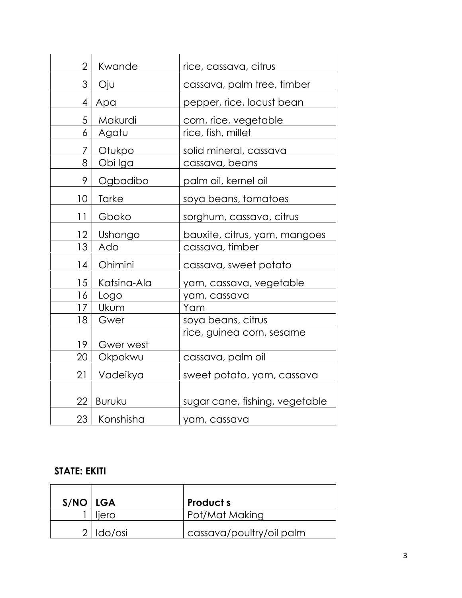| $\overline{2}$ | Kwande      | rice, cassava, citrus          |  |
|----------------|-------------|--------------------------------|--|
| 3              | Oju         | cassava, palm tree, timber     |  |
| 4              | Apa         | pepper, rice, locust bean      |  |
| 5              | Makurdi     | corn, rice, vegetable          |  |
| 6              | Agatu       | rice, fish, millet             |  |
| 7              | Otukpo      | solid mineral, cassava         |  |
| 8              | Obi Iga     | cassava, beans                 |  |
| 9              | Ogbadibo    | palm oil, kernel oil           |  |
| 10             | Tarke       | soya beans, tomatoes           |  |
| 11             | Gboko       | sorghum, cassava, citrus       |  |
| 12             | Ushongo     | bauxite, citrus, yam, mangoes  |  |
| 13             | Ado         | cassava, timber                |  |
| 14             | Ohimini     | cassava, sweet potato          |  |
| 15             | Katsina-Ala | yam, cassava, vegetable        |  |
| 16             | Logo        | yam, cassava                   |  |
| 17             | Ukum        | Yam                            |  |
| 18             | Gwer        | soya beans, citrus             |  |
| 19             | Gwer west   | rice, guinea corn, sesame      |  |
| 20             | Okpokwu     | cassava, palm oil              |  |
|                |             |                                |  |
| 21             | Vadeikya    | sweet potato, yam, cassava     |  |
| 22             | Buruku      | sugar cane, fishing, vegetable |  |
| 23             | Konshisha   | yam, cassava                   |  |

#### **STATE: EKITI**

| $S/NO$   LGA |               | <b>Product s</b>         |
|--------------|---------------|--------------------------|
|              | ljero         | Pot/Mat Making           |
|              | $2  $ ldo/osi | cassava/poultry/oil palm |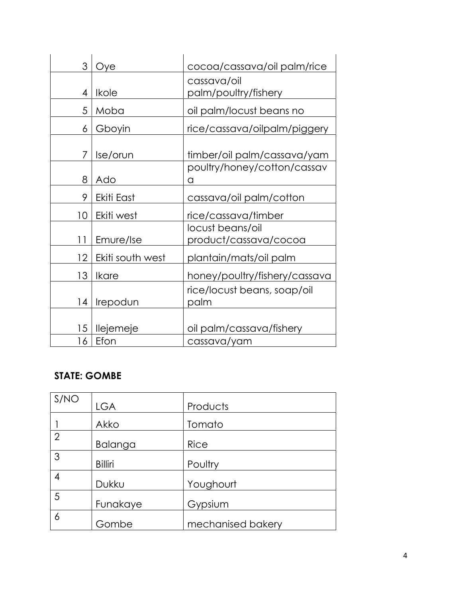| 3               | Ove              | cocoa/cassava/oil palm/rice   |
|-----------------|------------------|-------------------------------|
|                 |                  | cassava/oil                   |
| 4               | Ikole            | palm/poultry/fishery          |
| 5               | Moba             | oil palm/locust beans no      |
| 6               | Gboyin           | rice/cassava/oilpalm/piggery  |
|                 |                  |                               |
| 7               | Ise/orun         | timber/oil palm/cassava/yam   |
|                 |                  | poultry/honey/cotton/cassav   |
| 8               | Ado              | a                             |
| 9               | Ekiti East       | cassava/oil palm/cotton       |
| 10              | Ekiti west       | rice/cassava/timber           |
|                 |                  | locust beans/oil              |
| 11              | Emure/Ise        | product/cassava/cocoa         |
| 12 <sup>2</sup> | Ekiti south west | plantain/mats/oil palm        |
| 13              | <b>Ikare</b>     | honey/poultry/fishery/cassava |
|                 |                  | rice/locust beans, soap/oil   |
| 14              | Irepodun         | palm                          |
|                 |                  |                               |
| 15              | llejemeje        | oil palm/cassava/fishery      |
| 16              | Efon             | cassava/yam                   |

## **STATE: GOMBE**

| S/NO           | <b>LGA</b>     | Products          |
|----------------|----------------|-------------------|
|                | Akko           | Tomato            |
| $\overline{2}$ | <b>Balanga</b> | <b>Rice</b>       |
| 3              | <b>Billiri</b> | Poultry           |
| 4              | Dukku          | Youghourt         |
| 5              | Funakaye       | Gypsium           |
| 6              | Gombe          | mechanised bakery |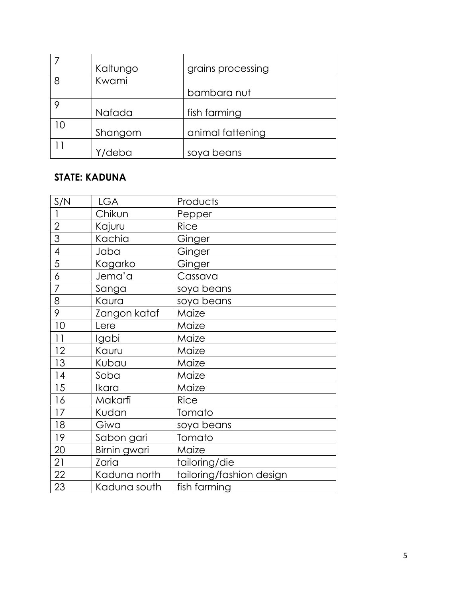|    | Kaltungo | grains processing |
|----|----------|-------------------|
| 8  | Kwami    |                   |
|    |          | bambara nut       |
|    |          |                   |
|    | Nafada   | fish farming      |
| 10 |          |                   |
|    | Shangom  | animal fattening  |
|    |          |                   |
|    | Y/deba   | soya beans        |

## **STATE: KADUNA**

| S/N            | <b>LGA</b>   | Products                 |
|----------------|--------------|--------------------------|
|                | Chikun       | Pepper                   |
| $\overline{2}$ | Kajuru       | <b>Rice</b>              |
| 3              | Kachia       | Ginger                   |
| $\overline{4}$ | Jaba         | Ginger                   |
| 5              | Kagarko      | Ginger                   |
| 6              | Jema'a       | Cassava                  |
| 7              | Sanga        | soya beans               |
| 8              | Kaura        | soya beans               |
| 9              | Zangon kataf | Maize                    |
| 10             | Lere         | Maize                    |
| 11             | Igabi        | Maize                    |
| 12             | Kauru        | Maize                    |
| 13             | Kubau        | Maize                    |
| 14             | Soba         | Maize                    |
| 15             | Ikara        | Maize                    |
| 16             | Makarfi      | <b>Rice</b>              |
| 17             | Kudan        | Tomato                   |
| 18             | Giwa         | soya beans               |
| 19             | Sabon gari   | Tomato                   |
| 20             | Birnin gwari | Maize                    |
| 21             | Zaria        | tailoring/die            |
| 22             | Kaduna north | tailoring/fashion design |
| 23             | Kaduna south | fish farming             |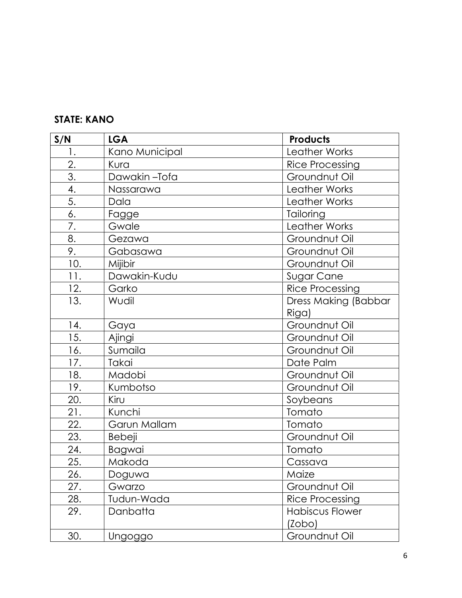## **STATE: KANO**

| S/N | <b>LGA</b>     | <b>Products</b>                  |
|-----|----------------|----------------------------------|
| 1.  | Kano Municipal | Leather Works                    |
| 2.  | Kura           | <b>Rice Processing</b>           |
| 3.  | Dawakin-Tofa   | Groundnut Oil                    |
| 4.  | Nassarawa      | Leather Works                    |
| 5.  | Dala           | Leather Works                    |
| 6.  | Fagge          | Tailoring                        |
| 7.  | Gwale          | Leather Works                    |
| 8.  | Gezawa         | Groundnut Oil                    |
| 9.  | Gabasawa       | Groundnut Oil                    |
| 10. | Mijibir        | Groundnut Oil                    |
| 11. | Dawakin-Kudu   | Sugar Cane                       |
| 12. | Garko          | <b>Rice Processing</b>           |
| 13. | Wudil          | Dress Making (Babbar             |
|     |                | Riga)                            |
| 14. | Gaya           | Groundnut Oil                    |
| 15. | Ajingi         | Groundnut Oil                    |
| 16. | Sumaila        | Groundnut Oil                    |
| 17. | Takai          | Date Palm                        |
| 18. | Madobi         | Groundnut Oil                    |
| 19. | Kumbotso       | Groundnut Oil                    |
| 20. | Kiru           | Soybeans                         |
| 21. | Kunchi         | Tomato                           |
| 22. | Garun Mallam   | Tomato                           |
| 23. | <b>Bebeji</b>  | Groundnut Oil                    |
| 24. | Bagwai         | Tomato                           |
| 25. | Makoda         | Cassava                          |
| 26. | Doguwa         | Maize                            |
| 27. | Gwarzo         | Groundnut Oil                    |
| 28. | Tudun-Wada     | <b>Rice Processing</b>           |
| 29. | Danbatta       | <b>Habiscus Flower</b><br>(Zobo) |
| 30. | Ungoggo        | Groundnut Oil                    |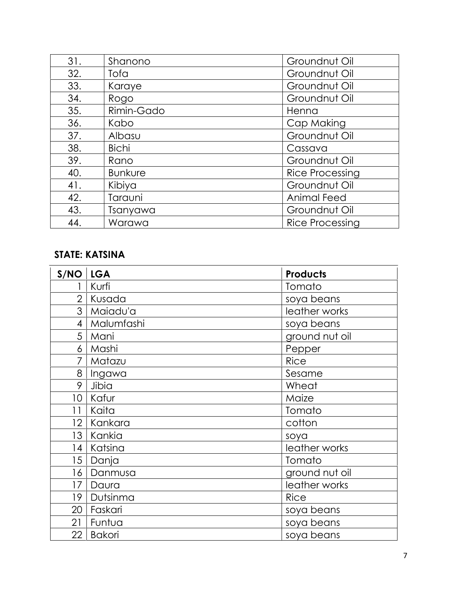| 31. | Shanono        | Groundnut Oil          |
|-----|----------------|------------------------|
| 32. | Tofa           | Groundnut Oil          |
| 33. | Karaye         | Groundnut Oil          |
| 34. | Rogo           | Groundnut Oil          |
| 35. | Rimin-Gado     | Henna                  |
| 36. | Kabo           | Cap Making             |
| 37. | Albasu         | Groundnut Oil          |
| 38. | <b>Bichi</b>   | Cassava                |
| 39. | Rano           | Groundnut Oil          |
| 40. | <b>Bunkure</b> | <b>Rice Processing</b> |
| 41. | Kibiya         | Groundnut Oil          |
| 42. | Tarauni        | Animal Feed            |
| 43. | Tsanyawa       | Groundnut Oil          |
| 44. | Warawa         | <b>Rice Processing</b> |

### **STATE: KATSINA**

| S/NO            | <b>LGA</b>    | <b>Products</b> |
|-----------------|---------------|-----------------|
|                 | Kurfi         | Tomato          |
| $\overline{2}$  | Kusada        | soya beans      |
| 3 <sup>1</sup>  | Maiadu'a      | leather works   |
| 4               | Malumfashi    | soya beans      |
| 5               | Mani          | ground nut oil  |
| 6               | Mashi         | Pepper          |
| 7               | Matazu        | <b>Rice</b>     |
| 8               | Ingawa        | Sesame          |
| 9               | Jibia         | Wheat           |
| 10              | Kafur         | Maize           |
| 11              | Kaita         | Tomato          |
| 12 <sup>2</sup> | Kankara       | cotton          |
| 13              | Kankia        | soya            |
| 4               | Katsina       | leather works   |
| 15              | Danja         | Tomato          |
| 16              | Danmusa       | ground nut oil  |
| $17 \,$         | Daura         | leather works   |
| 19              | Dutsinma      | <b>Rice</b>     |
| 20              | Faskari       | soya beans      |
| 21              | Funtua        | soya beans      |
| 22              | <b>Bakori</b> | soya beans      |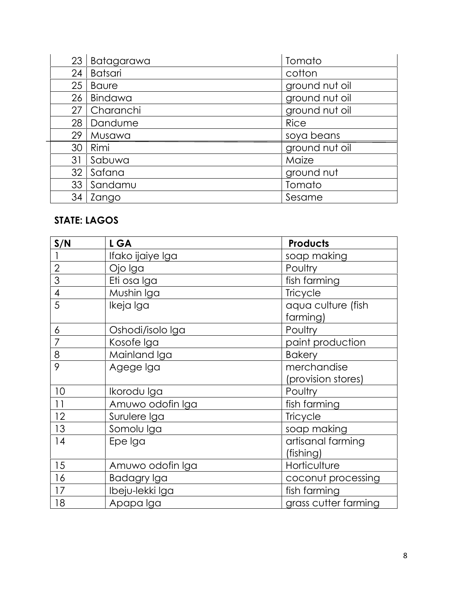| 23              | Batagarawa     | Tomato         |
|-----------------|----------------|----------------|
| 24              | <b>Batsari</b> | cotton         |
| 25              | <b>Baure</b>   | ground nut oil |
| 26              | Bindawa        | ground nut oil |
| 27 <sup>1</sup> | Charanchi      | ground nut oil |
| 28 <sub>1</sub> | Dandume        | <b>Rice</b>    |
| 29              | Musawa         | soya beans     |
| 30              | Rimi           | ground nut oil |
| 31              | Sabuwa         | Maize          |
| 32              | Safana         | ground nut     |
| 33 <sup>1</sup> | Sandamu        | Tomato         |
| 34 <sup>1</sup> | Zango          | Sesame         |

## **STATE: LAGOS**

| S/N            | L GA               | <b>Products</b>                   |
|----------------|--------------------|-----------------------------------|
|                | Ifako ijaiye Iga   | soap making                       |
| $\overline{2}$ | Ojo Iga            | Poultry                           |
| 3              | Eti osa Iga        | fish farming                      |
| $\overline{4}$ | Mushin Iga         | Tricycle                          |
| 5              | Ikeja Iga          | aqua culture (fish<br>farming)    |
| 6              | Oshodi/isolo Iga   | Poultry                           |
| $\overline{7}$ | Kosofe Iga         | paint production                  |
| $8\,$          | Mainland Iga       | <b>Bakery</b>                     |
| 9              | Agege Iga          | merchandise<br>(provision stores) |
| 10             | Ikorodu Iga        | Poultry                           |
| 11             | Amuwo odofin Iga   | fish farming                      |
| 12             | Surulere Iga       | Tricycle                          |
| 13             | Somolu Iga         | soap making                       |
| 14             | Epe Iga            | artisanal farming<br>(fishing)    |
| 15             | Amuwo odofin Iga   | Horticulture                      |
| 16             | <b>Badagry Iga</b> | coconut processing                |
| 17             | Ibeju-lekki Iga    | fish farming                      |
| 18             | Apapa Iga          | grass cutter farming              |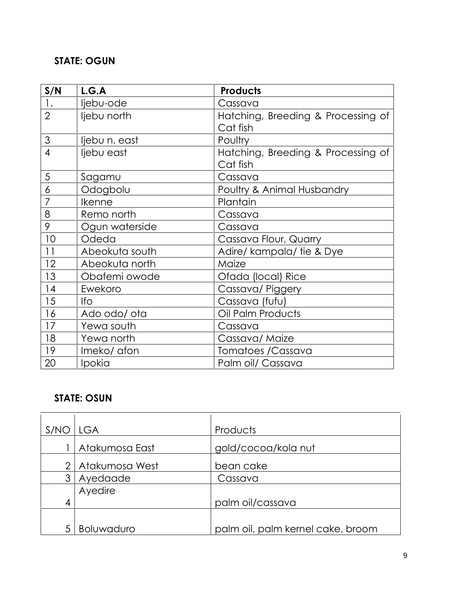## **STATE: OGUN**

| S/N            | L.G.A          | <b>Products</b>                    |
|----------------|----------------|------------------------------------|
| 1.             | ljebu-ode      | Cassava                            |
| $\overline{2}$ | ljebu north    | Hatching, Breeding & Processing of |
|                |                | Cat fish                           |
| $\mathfrak{S}$ | ljebu n. east  | Poultry                            |
| $\overline{4}$ | ljebu east     | Hatching, Breeding & Processing of |
|                |                | Cat fish                           |
| 5              | Sagamu         | Cassava                            |
| 6              | Odogbolu       | Poultry & Animal Husbandry         |
| 7              | Ikenne         | Plantain                           |
| 8              | Remo north     | Cassava                            |
| 9              | Ogun waterside | Cassava                            |
| 10             | Odeda          | Cassava Flour, Quarry              |
| 11             | Abeokuta south | Adire/ kampala/ tie & Dye          |
| 12             | Abeokuta north | Maize                              |
| 13             | Obafemi owode  | Ofada (local) Rice                 |
| 14             | Ewekoro        | Cassava/Piggery                    |
| 15             | $If$ $\circ$   | Cassava (fufu)                     |
| 16             | Ado odo/ ota   | Oil Palm Products                  |
| 17             | Yewa south     | Cassava                            |
| 18             | Yewa north     | Cassava/Maize                      |
| 19             | Imeko/ afon    | Tomatoes / Cassava                 |
| 20             | Ipokia         | Palm oil/ Cassava                  |

### **STATE: OSUN**

| S/NO           | <b>LGA</b>        | Products                          |
|----------------|-------------------|-----------------------------------|
|                | Atakumosa East    | gold/cocoa/kola nut               |
| 2 <sub>1</sub> | Atakumosa West    | bean cake                         |
| 3              | Ayedaade          | Cassava                           |
|                | Ayedire           |                                   |
|                |                   | palm oil/cassava                  |
|                |                   |                                   |
|                | <b>Boluwaduro</b> | palm oil, palm kernel cake, broom |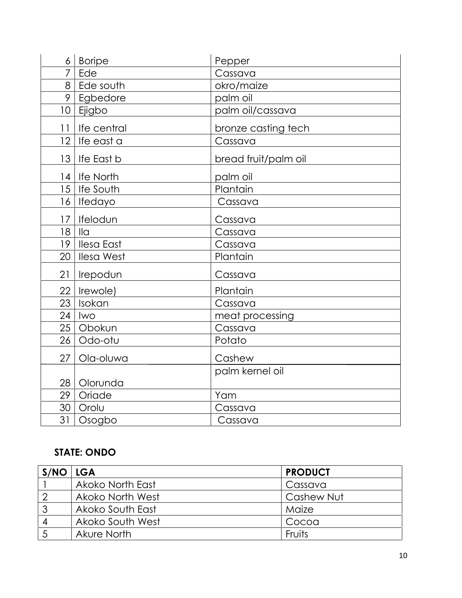| 6               | <b>Boripe</b>              | Pepper               |
|-----------------|----------------------------|----------------------|
| 7               | Ede                        | Cassava              |
| 8               | Ede south                  | okro/maize           |
| 9               | Egbedore                   | palm oil             |
| 10 <sup>°</sup> | Ejigbo                     | palm oil/cassava     |
| 11              | Ife central                | bronze casting tech  |
| 12              | Ife east a                 | Cassava              |
| 13              | Ife East b                 | bread fruit/palm oil |
| 14              | Ife North                  | palm oil             |
| 15              | Ife South                  | Plantain             |
| 16              | Ifedayo                    | Cassava              |
| 17              | Ifelodun                   | Cassava              |
| 18              | $\overline{\mathsf{II}}$ a | Cassava              |
| 19              | <b>Ilesa East</b>          | Cassava              |
| 20              | <b>Ilesa West</b>          | Plantain             |
| 21              | Irepodun                   | Cassava              |
| 22              | Irewole)                   | Plantain             |
| 23              | Isokan                     | Cassava              |
| 24              | Iwo                        | meat processing      |
| 25              | Obokun                     | Cassava              |
| 26              | Odo-otu                    | Potato               |
| 27              | Ola-oluwa                  | Cashew               |
|                 |                            | palm kernel oil      |
| 28              | Olorunda                   |                      |
| 29              | Oriade                     | Yam                  |
| 30              | Orolu                      | Cassava              |
| 31              | Osogbo                     | Cassava              |

## **STATE: ONDO**

| $S/NO$ LGA |                  | <b>PRODUCT</b> |
|------------|------------------|----------------|
|            | Akoko North East | Cassava        |
|            | Akoko North West | Cashew Nut     |
| 3          | Akoko South East | Maize          |
| 4          | Akoko South West | Cocoa          |
| 5          | Akure North      | Fruits         |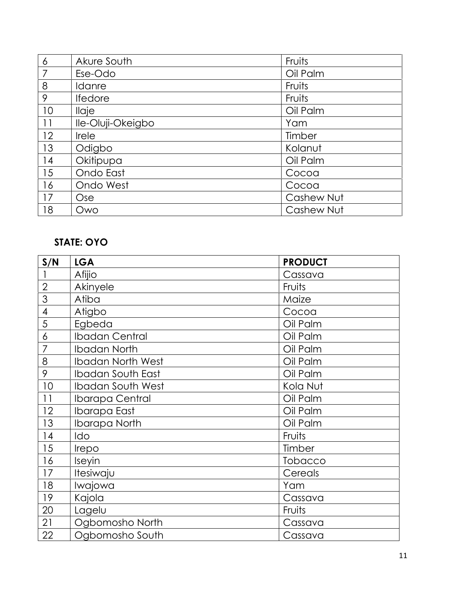| 6  | Akure South       | Fruits     |
|----|-------------------|------------|
| 7  | Ese-Odo           | Oil Palm   |
| 8  | Idanre            | Fruits     |
| 9  | <b>Ifedore</b>    | Fruits     |
| 10 | <b>Ilaje</b>      | Oil Palm   |
| 11 | Ile-Oluji-Okeigbo | Yam        |
| 12 | <b>Irele</b>      | Timber     |
| 13 | Odigbo            | Kolanut    |
| 14 | Okitipupa         | Oil Palm   |
| 15 | Ondo East         | Cocoa      |
| 16 | Ondo West         | Cocoa      |
| 17 | <b>Ose</b>        | Cashew Nut |
| 18 | Owo               | Cashew Nut |

## **STATE: OYO**

| 6              | Akure South                     | Fruits            |
|----------------|---------------------------------|-------------------|
| 7              | Ese-Odo                         | Oil Palm          |
| $\,8\,$        | Idanre                          | Fruits            |
| 9              | Ifedore                         | Fruits            |
| 10             | llaje                           | Oil Palm          |
| 11             | Ile-Oluji-Okeigbo               | Yam               |
| 12             | Irele                           | Timber            |
| 13             | Odigbo                          | Kolanut           |
| 14             | Okitipupa                       | Oil Palm          |
| 15             | Ondo East                       | Cocoa             |
| 16             | Ondo West                       | Cocoa             |
| 17             | Ose                             | Cashew Nut        |
| 18             | Owo                             | Cashew Nut        |
| S/N            | <b>STATE: OYO</b><br><b>LGA</b> | <b>PRODUCT</b>    |
| $\mathbf{I}$   | Afijio                          | Cassava           |
| $\overline{2}$ | Akinyele                        | Fruits            |
| 3              | Atiba                           | Maize             |
| $\overline{4}$ | Atigbo                          | Cocoa             |
| 5              | Egbeda                          | Oil Palm          |
| 6              | <b>Ibadan Central</b>           | Oil Palm          |
| $\overline{7}$ | <b>Ibadan North</b>             | Oil Palm          |
| 8              | <b>Ibadan North West</b>        | Oil Palm          |
|                |                                 |                   |
|                |                                 |                   |
| 9              | <b>Ibadan South East</b>        | Oil Palm          |
| 10             | <b>Ibadan South West</b>        | Kola Nut          |
| 11             | Ibarapa Central                 | Oil Palm          |
| 12             | Ibarapa East                    | Oil Palm          |
| 13             | <b>Ibarapa North</b>            | Oil Palm          |
| 14             | Ido                             | Fruits            |
| 15             | Irepo                           | Timber            |
| 16             | <b>Iseyin</b>                   | Tobacco           |
| 17             | Itesiwaju                       | Cereals           |
| 18             | Iwajowa                         | Yam               |
| 19             | Kajola                          | Cassava<br>Fruits |
| 20<br>21       | Lagelu<br>Ogbomosho North       | Cassava           |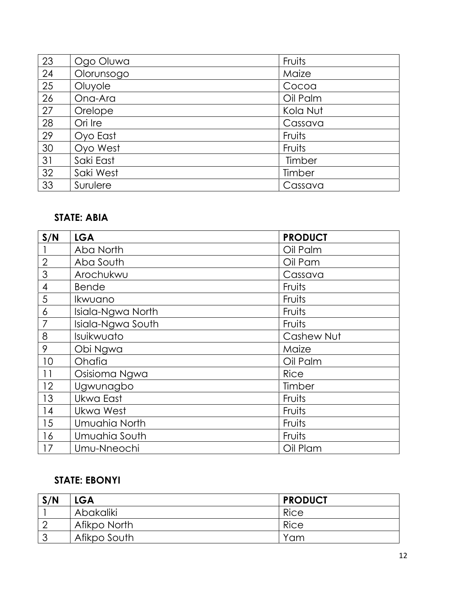| 23 | Ogo Oluwa  | Fruits   |
|----|------------|----------|
| 24 | Olorunsogo | Maize    |
| 25 | Oluyole    | Cocoa    |
| 26 | Ona-Ara    | Oil Palm |
| 27 | Orelope    | Kola Nut |
| 28 | Ori Ire    | Cassava  |
| 29 | Oyo East   | Fruits   |
| 30 | Oyo West   | Fruits   |
| 31 | Saki East  | Timber   |
| 32 | Saki West  | Timber   |
| 33 | Surulere   | Cassava  |

#### **STATE: ABIA**

| S/N            | <b>LGA</b>        | <b>PRODUCT</b> |
|----------------|-------------------|----------------|
|                | Aba North         | Oil Palm       |
| $\overline{2}$ | Aba South         | Oil Pam        |
| 3              | Arochukwu         | Cassava        |
| 4              | <b>Bende</b>      | Fruits         |
| 5              | Ikwuano           | Fruits         |
| 6              | Isiala-Ngwa North | Fruits         |
| 7              | Isiala-Ngwa South | Fruits         |
| 8              | Isuikwuato        | Cashew Nut     |
| 9              | Obi Ngwa          | Maize          |
| 10             | Ohafia            | Oil Palm       |
| 11             | Osisioma Ngwa     | <b>Rice</b>    |
| 12             | Ugwunagbo         | Timber         |
| 13             | Ukwa East         | Fruits         |
| 14             | Ukwa West         | Fruits         |
| 15             | Umuahia North     | Fruits         |
| 16             | Umuahia South     | Fruits         |
| 17             | Umu-Nneochi       | Oil Plam       |

## **STATE: EBONYI**

| S/N | <b>LGA</b>       | <b>PRODUCT</b> |
|-----|------------------|----------------|
|     | <b>Abakaliki</b> | Rice           |
|     | Afikpo North     | Rice           |
| ◠   | Afikpo South     | Yam            |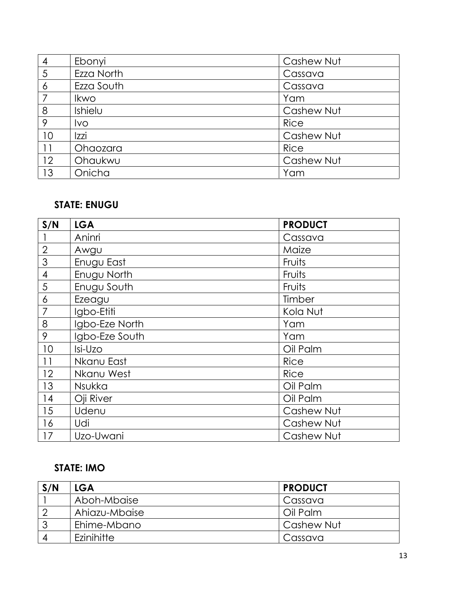| $\overline{A}$ | Ebonyi      | Cashew Nut  |
|----------------|-------------|-------------|
| 5              | Ezza North  | Cassava     |
| 6              | Ezza South  | Cassava     |
| 7              | <b>Ikwo</b> | Yam         |
| 8              | Ishielu     | Cashew Nut  |
| 9              | lvo         | <b>Rice</b> |
| 10             | <b>Izzi</b> | Cashew Nut  |
| 11             | Ohaozara    | <b>Rice</b> |
| 12             | Ohaukwu     | Cashew Nut  |
| 13             | Onicha      | Yam         |

#### **STATE: ENUGU**

| $\overline{4}$                                             | Ebonyi                    | Cashew Nut       |
|------------------------------------------------------------|---------------------------|------------------|
| 5                                                          | Ezza North                | Cassava          |
| $\ddot{\delta}$                                            | Ezza South                | Cassava          |
| $\overline{7}$                                             | Ikwo                      | Yam              |
| 8                                                          | Ishielu                   | Cashew Nut       |
| $\mathcal{P}$                                              | <b>Ivo</b>                | <b>Rice</b>      |
| 10                                                         | Izzi                      | Cashew Nut       |
| 11                                                         | Ohaozara                  | <b>Rice</b>      |
| 12                                                         | Ohaukwu                   | Cashew Nut       |
| 13                                                         | Onicha                    | Yam              |
|                                                            |                           |                  |
|                                                            | <b>STATE: ENUGU</b>       |                  |
| S/N                                                        | <b>LGA</b>                | <b>PRODUCT</b>   |
| $\mathbf{1}$                                               | Aninri                    | Cassava          |
| $\overline{2}$<br>3                                        | Awgu                      | Maize            |
|                                                            | Enugu East                | Fruits           |
| $\overline{4}$<br>5                                        | Enugu North               | Fruits<br>Fruits |
|                                                            | Enugu South               |                  |
| $\overline{6}$                                             | Ezeagu                    | Timber           |
| $\overline{7}$<br>8                                        | Igbo-Etiti                | Kola Nut<br>Yam  |
| $\mathcal{P}$                                              | Igbo-Eze North            | Yam              |
| 10                                                         | Igbo-Eze South<br>Isi-Uzo | Oil Palm         |
|                                                            | Nkanu East                | <b>Rice</b>      |
| 11<br>12                                                   | Nkanu West                | <b>Rice</b>      |
| 13                                                         | Nsukka                    | Oil Palm         |
| 14                                                         | Oji River                 | Oil Palm         |
| 15                                                         | Udenu                     | Cashew Nut       |
| 16                                                         | Udi                       | Cashew Nut       |
| 17                                                         | Uzo-Uwani                 | Cashew Nut       |
|                                                            |                           |                  |
|                                                            |                           |                  |
|                                                            | <b>STATE: IMO</b>         |                  |
| S/N                                                        | <b>LGA</b>                | <b>PRODUCT</b>   |
| $\mathbf{1}$                                               | Aboh-Mbaise               | Cassava          |
| $\overline{2}$                                             | Ahiazu-Mbaise             | Oil Palm         |
| $\mathfrak{S}% _{M_{1},M_{2}}^{\alpha,\beta}(\varepsilon)$ | Ehime-Mbano               | Cashew Nut       |
| $\overline{4}$                                             | Ezinihitte                | Cassava          |

## **STATE: IMO**

| S/N | LGA           | <b>PRODUCT</b> |
|-----|---------------|----------------|
|     | Aboh-Mbaise   | Cassava        |
|     | Ahiazu-Mbaise | Oil Palm       |
|     | Ehime-Mbano   | Cashew Nut     |
|     | Ezinihitte    | Cassava        |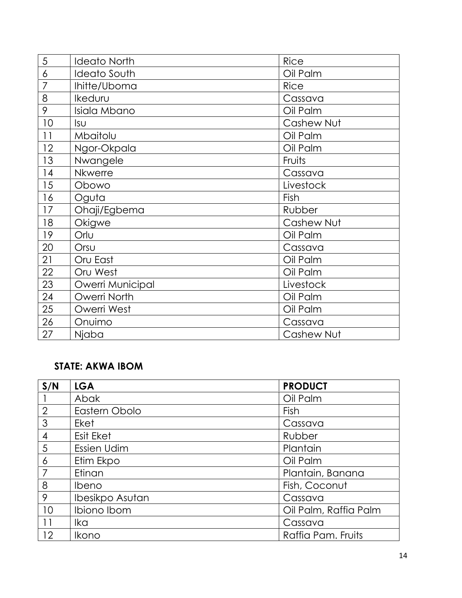| 5               | <b>Ideato North</b>     | <b>Rice</b>           |
|-----------------|-------------------------|-----------------------|
| $\ddot{\delta}$ | <b>Ideato South</b>     | Oil Palm              |
| $\overline{7}$  | Ihitte/Uboma            | Rice                  |
| 8               | Ikeduru                 | Cassava               |
| 9               | Isiala Mbano            | Oil Palm              |
| 10              | <b>Isu</b>              | Cashew Nut            |
| 11              | Mbaitolu                | Oil Palm              |
| 12              | Ngor-Okpala             | Oil Palm              |
| 13              | Nwangele                | Fruits                |
| 14              | Nkwerre                 | Cassava               |
| 15              | Obowo                   | Livestock             |
| 16              | Oguta                   | Fish                  |
| 17              | Ohaji/Egbema            | Rubber                |
| 18              | Okigwe                  | Cashew Nut            |
| 19              | Orlu                    | Oil Palm              |
| 20              | Orsu                    | Cassava               |
| 21              | Oru East                | Oil Palm              |
| 22              | Oru West                | Oil Palm              |
| 23              | Owerri Municipal        | Livestock             |
| 24              | Owerri North            | Oil Palm              |
| 25              | Owerri West             | Oil Palm              |
|                 |                         |                       |
| 26              | Onuimo                  | Cassava               |
| 27              | Njaba                   | Cashew Nut            |
|                 | <b>STATE: AKWA IBOM</b> |                       |
| S/N             | <b>LGA</b>              | <b>PRODUCT</b>        |
|                 | Abak                    | Oil Palm              |
| $\mathbf{2}$    | Eastern Obolo           | Fish                  |
| 3               | Eket                    | Cassava               |
| $\overline{4}$  | Esit Eket               | Rubber                |
| 5               | Essien Udim             | Plantain              |
| 6               | Etim Ekpo               | Oil Palm              |
| $\overline{7}$  | Etinan                  | Plantain, Banana      |
| $\,8\,$         | Ibeno                   | Fish, Coconut         |
| 9               | Ibesikpo Asutan         | Cassava               |
| 10              | Ibiono Ibom             | Oil Palm, Raffia Palm |
| 11              | Ika                     | Cassava               |

#### **STATE: AKWA IBOM**

| S/N            | <b>LGA</b>       | <b>PRODUCT</b>        |
|----------------|------------------|-----------------------|
|                | Abak             | Oil Palm              |
| $\mathbf{2}$   | Eastern Obolo    | Fish                  |
| 3              | Eket             | Cassava               |
| $\overline{4}$ | <b>Esit Eket</b> | Rubber                |
| 5              | Essien Udim      | Plantain              |
| 6              | Etim Ekpo        | Oil Palm              |
| $\overline{7}$ | Etinan           | Plantain, Banana      |
| 8              | <b>Ibeno</b>     | Fish, Coconut         |
| 9              | Ibesikpo Asutan  | Cassava               |
| 10             | Ibiono Ibom      | Oil Palm, Raffia Palm |
| 11             | Ika              | Cassava               |
| 12             | <b>Ikono</b>     | Raffia Pam. Fruits    |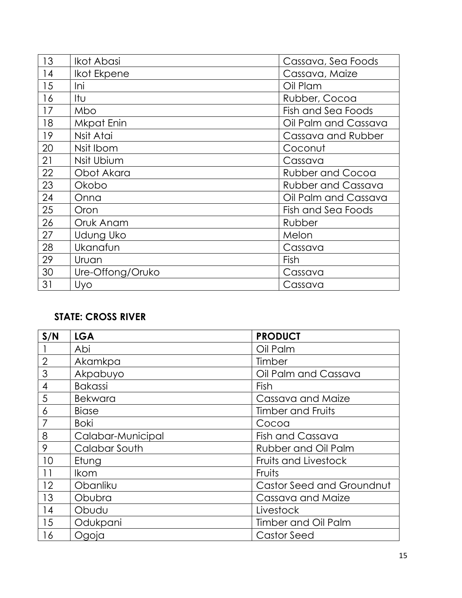| 13 | Ikot Abasi        | Cassava, Sea Foods        |
|----|-------------------|---------------------------|
| 14 | Ikot Ekpene       | Cassava, Maize            |
| 15 | Ini               | Oil Plam                  |
| 16 | Itu               | Rubber, Cocoa             |
| 17 | Mbo               | Fish and Sea Foods        |
| 18 | <b>Mkpat Enin</b> | Oil Palm and Cassava      |
| 19 | Nsit Atai         | Cassava and Rubber        |
| 20 | Nsit Ibom         | Coconut                   |
| 21 | Nsit Ubium        | Cassava                   |
| 22 | Obot Akara        | <b>Rubber and Cocoa</b>   |
| 23 | Okobo             | <b>Rubber and Cassava</b> |
| 24 | Onna              | Oil Palm and Cassava      |
| 25 | Oron              | Fish and Sea Foods        |
| 26 | Oruk Anam         | Rubber                    |
| 27 | Udung Uko         | Melon                     |
| 28 | Ukanafun          | Cassava                   |
| 29 | Uruan             | Fish                      |
| 30 | Ure-Offong/Oruko  | Cassava                   |
| 31 | Uyo               | Cassava                   |

## **STATE: CROSS RIVER**

| S/N            | <b>LGA</b>        | <b>PRODUCT</b>             |
|----------------|-------------------|----------------------------|
|                | Abi               | Oil Palm                   |
| $\overline{2}$ | Akamkpa           | Timber                     |
| 3              | Akpabuyo          | Oil Palm and Cassava       |
| 4              | <b>Bakassi</b>    | Fish                       |
| 5              | <b>Bekwara</b>    | Cassava and Maize          |
| 6              | <b>Biase</b>      | Timber and Fruits          |
|                | <b>Boki</b>       | Cocoa                      |
| 8              | Calabar-Municipal | Fish and Cassava           |
| 9              | Calabar South     | Rubber and Oil Palm        |
| 10             | Etung             | Fruits and Livestock       |
| 11             | <b>Ikom</b>       | Fruits                     |
| 12             | Obanliku          | Castor Seed and Groundnut  |
| 13             | Obubra            | Cassava and Maize          |
| 14             | Obudu             | Livestock                  |
| 15             | Odukpani          | <b>Timber and Oil Palm</b> |
| 16             | Ogoja             | Castor Seed                |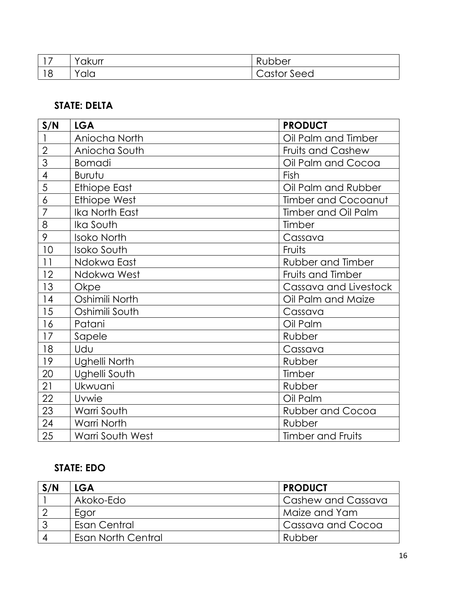|     | $\checkmark$<br>`akurr | R<br>Rubber           |
|-----|------------------------|-----------------------|
| . U | v<br>'ala              | Castor<br>Castor Seed |

## **STATE: DELTA**

| S/N              | <b>LGA</b>          | <b>PRODUCT</b>             |
|------------------|---------------------|----------------------------|
|                  | Aniocha North       | Oil Palm and Timber        |
| $\overline{2}$   | Aniocha South       | Fruits and Cashew          |
| 3                | <b>Bomadi</b>       | Oil Palm and Cocoa         |
| $\overline{4}$   | Burutu              | Fish                       |
| 5                | <b>Ethiope East</b> | Oil Palm and Rubber        |
| $\boldsymbol{6}$ | Ethiope West        | <b>Timber and Cocoanut</b> |
| $\overline{7}$   | Ika North East      | <b>Timber and Oil Palm</b> |
| 8                | Ika South           | Timber                     |
| $\mathcal{P}$    | <b>Isoko North</b>  | Cassava                    |
| 10               | Isoko South         | Fruits                     |
| 11               | Ndokwa East         | Rubber and Timber          |
| 12               | Ndokwa West         | Fruits and Timber          |
| 13               | Okpe                | Cassava and Livestock      |
| 14               | Oshimili North      | Oil Palm and Maize         |
| 15               | Oshimili South      | Cassava                    |
| 16               | Patani              | Oil Palm                   |
| 17               | Sapele              | Rubber                     |
| 18               | Udu                 | Cassava                    |
| 19               | Ughelli North       | Rubber                     |
| 20               | Ughelli South       | Timber                     |
| 21               | Ukwuani             | Rubber                     |
| 22               | Uvwie               | Oil Palm                   |
| 23               | Warri South         | <b>Rubber and Cocoa</b>    |
| 24               | <b>Warri North</b>  | Rubber                     |
| 25               | Warri South West    | <b>Timber and Fruits</b>   |

### **STATE: EDO**

| S/N | LGA                       | <b>PRODUCT</b>     |
|-----|---------------------------|--------------------|
|     | Akoko-Edo                 | Cashew and Cassava |
|     | Egor                      | Maize and Yam      |
| ာ   | Esan Central              | Cassava and Cocoa  |
|     | <b>Esan North Central</b> | Rubber             |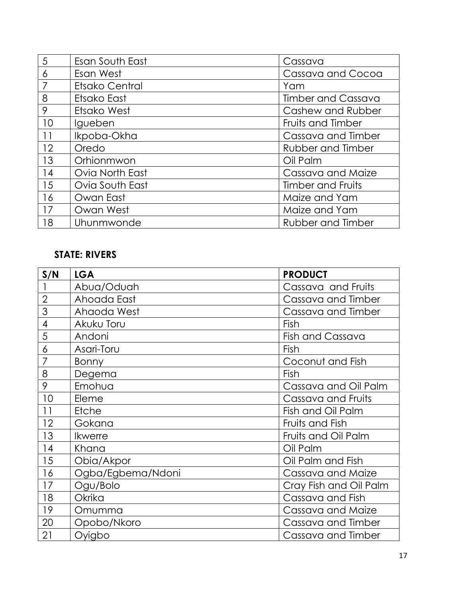| 5  | Esan South East | Cassava                   |
|----|-----------------|---------------------------|
| 6  | Esan West       | Cassava and Cocoa         |
|    | Etsako Central  | Yam                       |
| 8  | Etsako East     | <b>Timber and Cassava</b> |
| 9  | Etsako West     | Cashew and Rubber         |
| 10 | Igueben         | Fruits and Timber         |
| 11 | Ikpoba-Okha     | Cassava and Timber        |
| 12 | Oredo           | Rubber and Timber         |
| 13 | Orhionmwon      | Oil Palm                  |
| 14 | Ovia North East | Cassava and Maize         |
| 15 | Ovia South East | <b>Timber and Fruits</b>  |
| 16 | Owan East       | Maize and Yam             |
| 17 | Owan West       | Maize and Yam             |
| 18 | Uhunmwonde      | Rubber and Timber         |

## **STATE: RIVERS**

| S/N              | <b>LGA</b>        | <b>PRODUCT</b>         |
|------------------|-------------------|------------------------|
|                  | Abua/Oduah        | Cassava and Fruits     |
| $\sqrt{2}$       | Ahoada East       | Cassava and Timber     |
| 3                | Ahaoda West       | Cassava and Timber     |
| $\overline{4}$   | Akuku Toru        | Fish                   |
| 5                | Andoni            | Fish and Cassava       |
| $\boldsymbol{6}$ | Asari-Toru        | Fish                   |
| 7                | Bonny             | Coconut and Fish       |
| 8                | Degema            | Fish                   |
| 9                | Emohua            | Cassava and Oil Palm   |
| 10               | Eleme             | Cassava and Fruits     |
| 11               | <b>Etche</b>      | Fish and Oil Palm      |
| 12               | Gokana            | Fruits and Fish        |
| 13               | <b>Ikwerre</b>    | Fruits and Oil Palm    |
| 14               | Khana             | Oil Palm               |
| 15               | Obia/Akpor        | Oil Palm and Fish      |
| 16               | Ogba/Egbema/Ndoni | Cassava and Maize      |
| 17               | Ogu/Bolo          | Cray Fish and Oil Palm |
| 18               | Okrika            | Cassava and Fish       |
| 19               | Omumma            | Cassava and Maize      |
| 20               | Opobo/Nkoro       | Cassava and Timber     |
| 21               | Oyigbo            | Cassava and Timber     |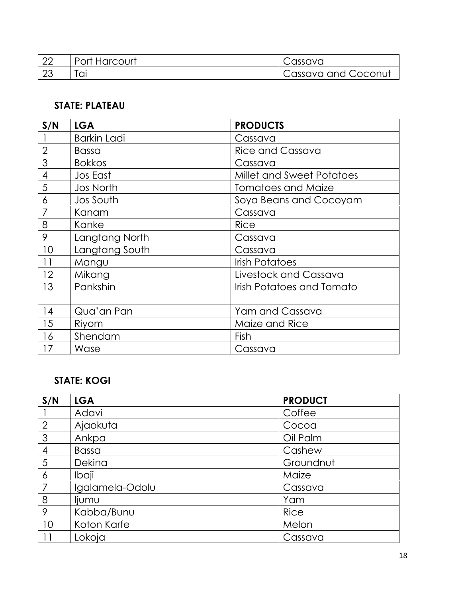| ററ<br>∠∠ | Port Harcourt                   | Cassava             |
|----------|---------------------------------|---------------------|
| ാറ<br>∠⊾ | $\overline{\phantom{a}}$<br>'uı | Cassava and Coconut |

## **STATE: PLATEAU**

| S/N            | <b>LGA</b>         | <b>PRODUCTS</b>           |
|----------------|--------------------|---------------------------|
|                | <b>Barkin Ladi</b> | Cassava                   |
| $\overline{2}$ | <b>Bassa</b>       | Rice and Cassava          |
| 3              | <b>Bokkos</b>      | Cassava                   |
| 4              | Jos East           | Millet and Sweet Potatoes |
| 5              | <b>Jos North</b>   | <b>Tomatoes and Maize</b> |
| 6              | Jos South          | Soya Beans and Cocoyam    |
| 7              | Kanam              | Cassava                   |
| 8              | Kanke              | <b>Rice</b>               |
| 9              | Langtang North     | Cassava                   |
| 10             | Langtang South     | Cassava                   |
| 11             | Mangu              | <b>Irish Potatoes</b>     |
| 12             | Mikang             | Livestock and Cassava     |
| 13             | Pankshin           | Irish Potatoes and Tomato |
|                |                    |                           |
| 14             | Qua'an Pan         | Yam and Cassava           |
| 15             | Riyom              | Maize and Rice            |
| 16             | Shendam            | Fish                      |
| 17             | Wase               | Cassava                   |

## **STATE: KOGI**

| S/N            | <b>LGA</b>      | <b>PRODUCT</b> |
|----------------|-----------------|----------------|
|                | Adavi           | Coffee         |
| $\overline{2}$ | Ajaokuta        | Cocoa          |
| 3              | Ankpa           | Oil Palm       |
| 4              | Bassa           | Cashew         |
| 5              | Dekina          | Groundnut      |
| 6              | Ibaji           | Maize          |
| $\overline{7}$ | Igalamela-Odolu | Cassava        |
| 8              | ljumu           | Yam            |
| 9              | Kabba/Bunu      | <b>Rice</b>    |
| 10             | Koton Karfe     | Melon          |
| 11             | Lokoja          | Cassava        |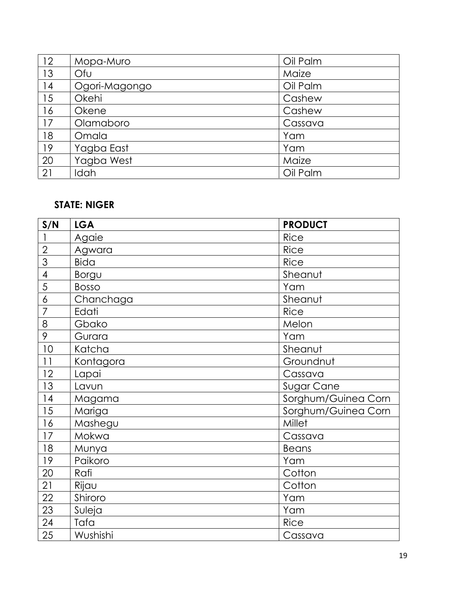| 12 | Mopa-Muro     | Oil Palm |
|----|---------------|----------|
| 13 | Ofu           | Maize    |
| 14 | Ogori-Magongo | Oil Palm |
| 15 | Okehi         | Cashew   |
| 16 | Okene         | Cashew   |
| 17 | Olamaboro     | Cassava  |
| 18 | Omala         | Yam      |
| 19 | Yagba East    | Yam      |
| 20 | Yagba West    | Maize    |
| 21 | Idah          | Oil Palm |

## **STATE: NIGER**

| S/N            | <b>LGA</b>   | <b>PRODUCT</b>      |
|----------------|--------------|---------------------|
|                | Agaie        | <b>Rice</b>         |
| $\sqrt{2}$     | Agwara       | <b>Rice</b>         |
| 3              | <b>Bida</b>  | Rice                |
| $\overline{4}$ | Borgu        | Sheanut             |
| 5              | <b>Bosso</b> | Yam                 |
| 6              | Chanchaga    | Sheanut             |
| 7              | Edati        | <b>Rice</b>         |
| 8              | Gbako        | Melon               |
| 9              | Gurara       | Yam                 |
| 10             | Katcha       | Sheanut             |
| 11             | Kontagora    | Groundnut           |
| 12             | Lapai        | Cassava             |
| 13             | Lavun        | Sugar Cane          |
| 14             | Magama       | Sorghum/Guinea Corn |
| 15             | Mariga       | Sorghum/Guinea Corn |
| 16             | Mashegu      | Millet              |
| 17             | Mokwa        | Cassava             |
| 18             | Munya        | <b>Beans</b>        |
| 19             | Paikoro      | Yam                 |
| 20             | Rafi         | Cotton              |
| 21             | Rijau        | Cotton              |
| 22             | Shiroro      | Yam                 |
| 23             | Suleja       | Yam                 |
| 24             | Tafa         | <b>Rice</b>         |
| 25             | Wushishi     | Cassava             |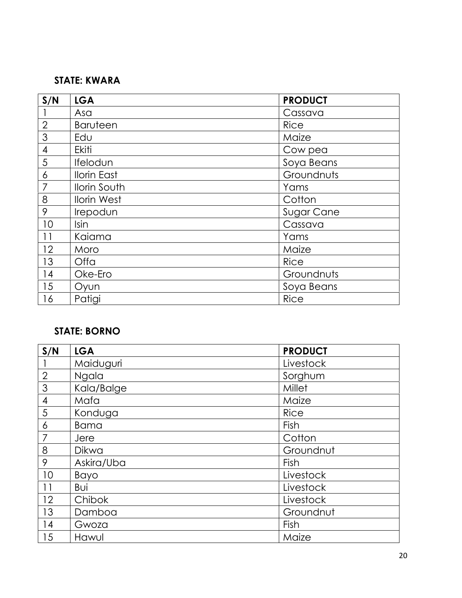#### **STATE: KWARA**

| S/N            | <b>LGA</b>          | <b>PRODUCT</b> |
|----------------|---------------------|----------------|
|                | Asa                 | Cassava        |
| $\overline{2}$ | <b>Baruteen</b>     | <b>Rice</b>    |
| 3              | Edu                 | Maize          |
| 4              | Ekiti               | Cow pea        |
| 5              | Ifelodun            | Soya Beans     |
| 6              | <b>Ilorin East</b>  | Groundnuts     |
| 7              | <b>Ilorin South</b> | Yams           |
| 8              | <b>Ilorin West</b>  | Cotton         |
| 9              | Irepodun            | Sugar Cane     |
| 10             | Isin                | Cassava        |
| 11             | Kaiama              | Yams           |
| 12             | Moro                | Maize          |
| 13             | Offa                | <b>Rice</b>    |
| 14             | Oke-Ero             | Groundnuts     |
| 15             | Oyun                | Soya Beans     |
| 16             | Patigi              | <b>Rice</b>    |

### **STATE: BORNO**

| S/N            | <b>LGA</b>  | <b>PRODUCT</b> |
|----------------|-------------|----------------|
|                | Maiduguri   | Livestock      |
| $\overline{2}$ | Ngala       | Sorghum        |
| 3              | Kala/Balge  | Millet         |
| $\overline{4}$ | Mafa        | Maize          |
| 5              | Konduga     | <b>Rice</b>    |
| 6              | <b>Bama</b> | Fish           |
| 7              | <b>Jere</b> | Cotton         |
| 8              | Dikwa       | Groundnut      |
| 9              | Askira/Uba  | Fish           |
| 10             | Bayo        | Livestock      |
| 11             | Bui         | Livestock      |
| 12             | Chibok      | Livestock      |
| 13             | Damboa      | Groundnut      |
| 14             | Gwoza       | Fish           |
| 15             | Hawul       | Maize          |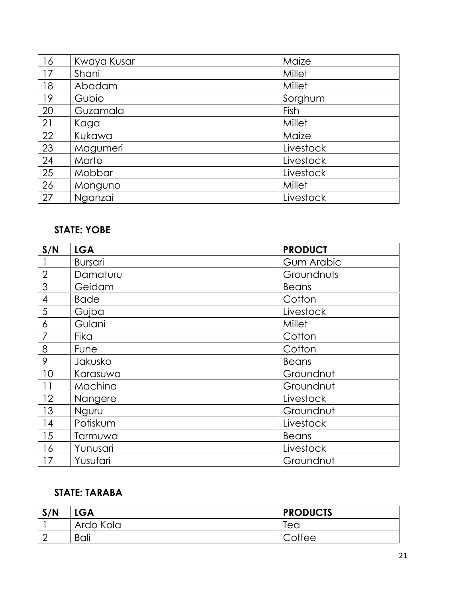| 16 | Kwaya Kusar | Maize     |
|----|-------------|-----------|
| 17 | Shani       | Millet    |
| 18 | Abadam      | Millet    |
| 19 | Gubio       | Sorghum   |
| 20 | Guzamala    | Fish      |
| 21 | Kaga        | Millet    |
| 22 | Kukawa      | Maize     |
| 23 | Magumeri    | Livestock |
| 24 | Marte       | Livestock |
| 25 | Mobbar      | Livestock |
| 26 | Monguno     | Millet    |
| 27 | Nganzai     | Livestock |

### **STATE: YOBE**

| S/N          | <b>LGA</b>     | <b>PRODUCT</b>    |
|--------------|----------------|-------------------|
|              | <b>Bursari</b> | <b>Gum Arabic</b> |
| $\mathbf{2}$ | Damaturu       | Groundnuts        |
| 3            | Geidam         | <b>Beans</b>      |
| 4            | <b>Bade</b>    | Cotton            |
| 5            | Gujba          | Livestock         |
| 6            | Gulani         | Millet            |
| 7            | Fika           | Cotton            |
| 8            | Fune           | Cotton            |
| 9            | Jakusko        | <b>Beans</b>      |
| 10           | Karasuwa       | Groundnut         |
| 11           | Machina        | Groundnut         |
| 12           | Nangere        | Livestock         |
| 13           | Nguru          | Groundnut         |
| 14           | Potiskum       | Livestock         |
| 15           | Tarmuwa        | <b>Beans</b>      |
| 16           | Yunusari       | Livestock         |
| 17           | Yusufari       | Groundnut         |

## **STATE: TARABA**

| S/N         | <b>LGA</b>  | <b>PRODUCTS</b> |
|-------------|-------------|-----------------|
|             | Ardo Kola   | lea             |
| $\sim$<br>∸ | <b>Bali</b> | ົາffee          |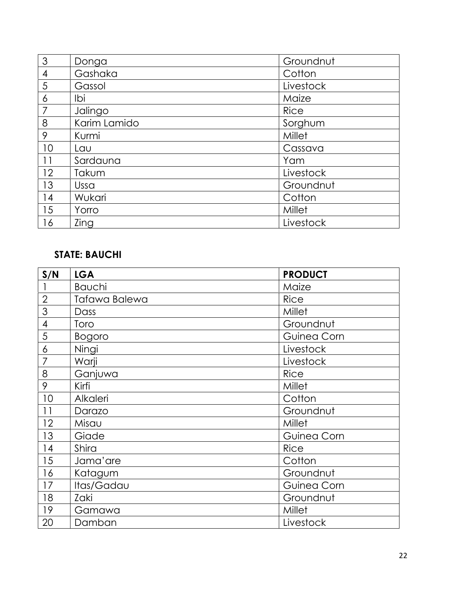| 3  | Donga        | Groundnut   |
|----|--------------|-------------|
| 4  | Gashaka      | Cotton      |
| 5  | Gassol       | Livestock   |
| 6  | Ibi          | Maize       |
| 7  | Jalingo      | <b>Rice</b> |
| 8  | Karim Lamido | Sorghum     |
| 9  | Kurmi        | Millet      |
| 10 | Lau          | Cassava     |
| 11 | Sardauna     | Yam         |
| 12 | Takum        | Livestock   |
| 13 | Ussa         | Groundnut   |
| 14 | Wukari       | Cotton      |
| 15 | Yorro        | Millet      |
| 16 | Zing         | Livestock   |

#### **STATE: BAUCHI**

| 3                                                                               | Donga                              | Groundnut           |
|---------------------------------------------------------------------------------|------------------------------------|---------------------|
| $\overline{4}$                                                                  | Gashaka                            | Cotton              |
| 5                                                                               | Gassol                             | Livestock           |
| $\overline{6}$                                                                  | Ibi                                | Maize               |
| $\overline{7}$                                                                  | Jalingo                            | <b>Rice</b>         |
| 8                                                                               | Karim Lamido                       | Sorghum             |
| $\mathcal{P}$                                                                   | Kurmi                              | Millet              |
| 10                                                                              | Lau                                | Cassava             |
| 11                                                                              | Sardauna                           | Yam                 |
| 12                                                                              | Takum                              | Livestock           |
| 13                                                                              | Ussa                               | Groundnut           |
| 14                                                                              | Wukari                             | Cotton              |
| 15                                                                              | Yorro                              | Millet              |
| 16                                                                              | Zing                               | Livestock           |
|                                                                                 | <b>STATE: BAUCHI</b><br><b>LGA</b> | <b>PRODUCT</b>      |
| S/N<br>$\mathbf{1}$                                                             | <b>Bauchi</b>                      | Maize               |
|                                                                                 | Tafawa Balewa                      | <b>Rice</b>         |
|                                                                                 |                                    |                     |
|                                                                                 |                                    |                     |
|                                                                                 | Dass                               | Millet              |
|                                                                                 | Toro                               | Groundnut           |
|                                                                                 | <b>Bogoro</b>                      | Guinea Corn         |
|                                                                                 | Ningi                              | Livestock           |
| $\overline{2}$<br>3<br>$\overline{4}$<br>5<br>$\ddot{\delta}$<br>$\overline{7}$ | Warji                              | Livestock           |
| 8                                                                               | Ganjuwa                            | <b>Rice</b>         |
|                                                                                 | Kirfi                              | Millet              |
| 9<br>10                                                                         | Alkaleri                           | Cotton              |
| 11                                                                              | Darazo                             | Groundnut           |
| 12                                                                              | Misau                              | Millet              |
| 13                                                                              | Giade                              | Guinea Corn         |
| 4                                                                               | Shira                              | <b>Rice</b>         |
| 15                                                                              | Jama'are                           | Cotton              |
| 16                                                                              | Katagum                            | Groundnut           |
| 17                                                                              | Itas/Gadau                         | Guinea Corn         |
| 18<br>19                                                                        | Zaki<br>Gamawa                     | Groundnut<br>Millet |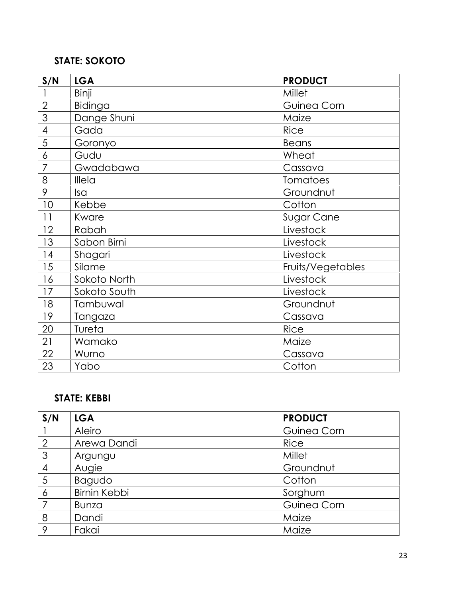## **STATE: SOKOTO**

| S/N            | <b>LGA</b>   | <b>PRODUCT</b>    |
|----------------|--------------|-------------------|
|                | Binji        | Millet            |
| $\overline{2}$ | Bidinga      | Guinea Corn       |
| 3              | Dange Shuni  | Maize             |
| $\overline{4}$ | Gada         | <b>Rice</b>       |
| 5              | Goronyo      | <b>Beans</b>      |
| 6              | Gudu         | Wheat             |
| 7              | Gwadabawa    | Cassava           |
| 8              | Illela       | Tomatoes          |
| 9              | Isa          | Groundnut         |
| 10             | Kebbe        | Cotton            |
| 11             | Kware        | Sugar Cane        |
| 12             | Rabah        | Livestock         |
| 13             | Sabon Birni  | Livestock         |
| 14             | Shagari      | Livestock         |
| 15             | Silame       | Fruits/Vegetables |
| 16             | Sokoto North | Livestock         |
| 17             | Sokoto South | Livestock         |
| 18             | Tambuwal     | Groundnut         |
| 19             | Tangaza      | Cassava           |
| 20             | Tureta       | <b>Rice</b>       |
| 21             | Wamako       | Maize             |
| 22             | Wurno        | Cassava           |
| 23             | Yabo         | Cotton            |

### **STATE: KEBBI**

| S/N            | <b>LGA</b>          | <b>PRODUCT</b> |
|----------------|---------------------|----------------|
|                | Aleiro              | Guinea Corn    |
| $\overline{2}$ | Arewa Dandi         | <b>Rice</b>    |
| 3              | Argungu             | Millet         |
| 4              | Augie               | Groundnut      |
| 5              | Bagudo              | Cotton         |
| 6              | <b>Birnin Kebbi</b> | Sorghum        |
| 7              | <b>Bunza</b>        | Guinea Corn    |
| 8              | Dandi               | Maize          |
| 9              | Fakai               | Maize          |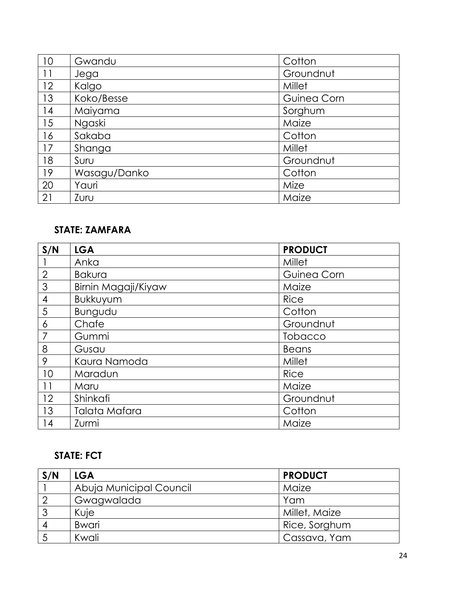| 10 | Gwandu       | Cotton      |
|----|--------------|-------------|
| 11 | Jega         | Groundnut   |
| 12 | Kalgo        | Millet      |
| 13 | Koko/Besse   | Guinea Corn |
| 14 | Maiyama      | Sorghum     |
| 15 | Ngaski       | Maize       |
| 16 | Sakaba       | Cotton      |
| 17 | Shanga       | Millet      |
| 18 | Suru         | Groundnut   |
| 19 | Wasagu/Danko | Cotton      |
| 20 | Yauri        | Mize        |
| 21 | Zuru         | Maize       |

#### **STATE: ZAMFARA**

| S/N            | <b>LGA</b>          | <b>PRODUCT</b> |
|----------------|---------------------|----------------|
|                | Anka                | Millet         |
| $\overline{2}$ | <b>Bakura</b>       | Guinea Corn    |
| 3              | Birnin Magaji/Kiyaw | Maize          |
| $\overline{4}$ | Bukkuyum            | <b>Rice</b>    |
| 5              | Bungudu             | Cotton         |
| 6              | Chafe               | Groundnut      |
| 7              | Gummi               | Tobacco        |
| 8              | Gusau               | <b>Beans</b>   |
| 9              | Kaura Namoda        | Millet         |
| 10             | Maradun             | <b>Rice</b>    |
| 11             | Maru                | Maize          |
| 12             | Shinkafi            | Groundnut      |
| 13             | Talata Mafara       | Cotton         |
| 14             | Zurmi               | Maize          |

## **STATE: FCT**

| S/N | <b>LGA</b>              | <b>PRODUCT</b> |
|-----|-------------------------|----------------|
|     | Abuja Municipal Council | Maize          |
|     | Gwagwalada              | Yam            |
| -2  | Kuje                    | Millet, Maize  |
| 4   | <b>Bwari</b>            | Rice, Sorghum  |
|     | Kwali                   | Cassava, Yam   |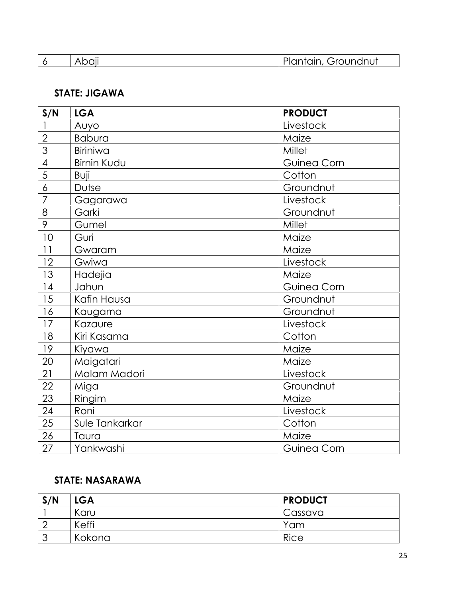| ∼ |  |  |  | $C_{\mathbf{z}}$<br>Contain Group<br>Grounanui |
|---|--|--|--|------------------------------------------------|
|---|--|--|--|------------------------------------------------|

### **STATE: JIGAWA**

| 6                    | Abaji                  | Plantain, Groundnut |
|----------------------|------------------------|---------------------|
|                      |                        |                     |
| <b>STATE: JIGAWA</b> |                        |                     |
| S/N                  | <b>LGA</b>             | <b>PRODUCT</b>      |
|                      | Auyo                   | Livestock           |
| $\overline{2}$       | <b>Babura</b>          | Maize               |
| $\overline{3}$       | Biriniwa               | Millet              |
| $\overline{4}$       | Birnin Kudu            | Guinea Corn         |
| 5                    | Buji                   | Cotton              |
| 6                    | Dutse                  | Groundnut           |
| $\overline{7}$       | Gagarawa               | Livestock           |
| $8\,$                | Garki                  | Groundnut           |
| 9                    | Gumel                  | Millet              |
| 10                   | Guri                   | Maize               |
| 11                   | Gwaram                 | Maize               |
| 12                   | Gwiwa                  | Livestock           |
| 13                   | Hadejia                | Maize               |
| 14                   | Jahun                  | Guinea Corn         |
| 15                   | Kafin Hausa            | Groundnut           |
| 16                   | Kaugama                | Groundnut           |
| 17                   | Kazaure                | Livestock           |
| 18                   | Kiri Kasama            | Cotton              |
| 19                   | Kiyawa                 | Maize               |
| 20                   | Maigatari              | Maize               |
| 21                   | Malam Madori           | Livestock           |
| 22                   | Miga                   | Groundnut           |
| 23                   | Ringim                 | Maize               |
| 24                   | Roni                   | Livestock           |
| 25                   | Sule Tankarkar         | Cotton              |
| 26                   | Taura                  | Maize               |
| 27                   | Yankwashi              | Guinea Corn         |
|                      |                        |                     |
|                      | <b>STATE: NASARAWA</b> |                     |
|                      |                        |                     |
| S/N                  | <b>LGA</b>             | <b>PRODUCT</b>      |
|                      | Karu                   | Cassava             |
| $\overline{2}$       | Keffi                  | Yam                 |
| 3                    | Kokona                 | <b>Rice</b>         |

## **STATE: NASARAWA**

| S/N    | <b>LGA</b> | <b>PRODUCT</b> |
|--------|------------|----------------|
|        | Karu       | Cassava        |
| C      | Keffi      | Yam            |
| $\sim$ | Kokona     | Rice           |